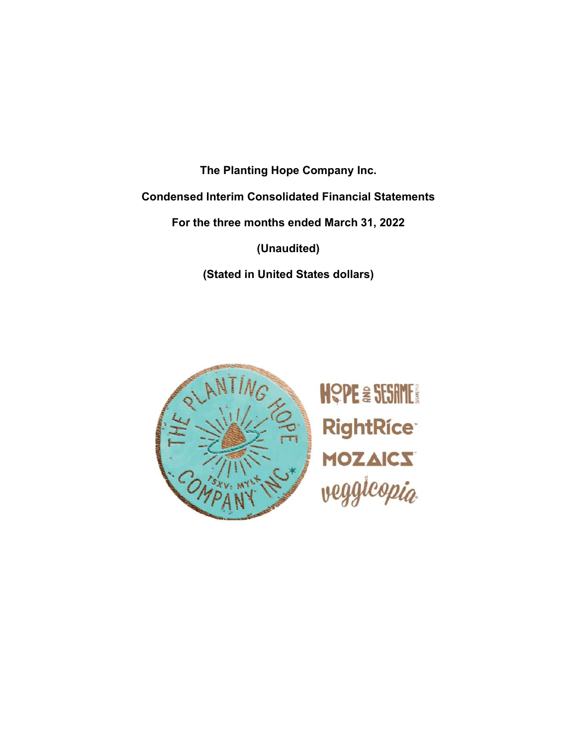**The Planting Hope Company Inc.**

**Condensed Interim Consolidated Financial Statements**

**For the three months ended March 31, 2022**

**(Unaudited)**

**(Stated in United States dollars)**



**HOPE & SESAME! RightRíce®** MOZAICS<br>veggicopia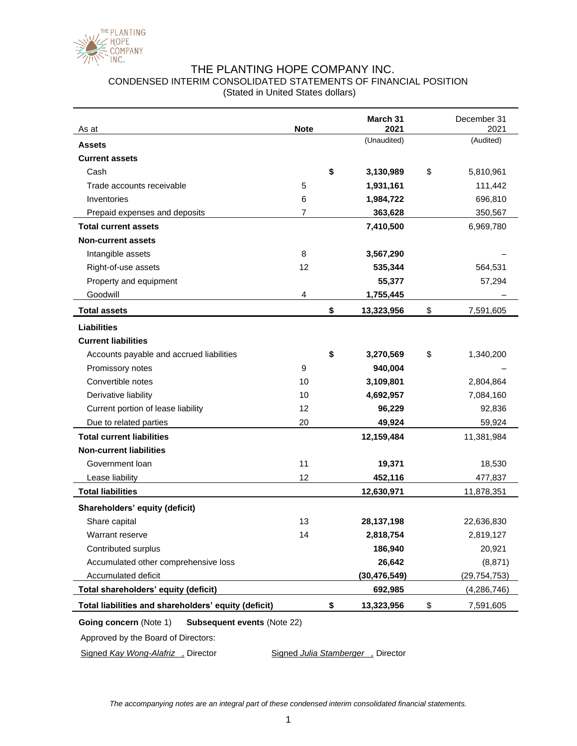

## THE PLANTING HOPE COMPANY INC. CONDENSED INTERIM CONSOLIDATED STATEMENTS OF FINANCIAL POSITION (Stated in United States dollars)

| As at                                                | <b>Note</b> | March 31<br>2021 | December 31<br>2021 |
|------------------------------------------------------|-------------|------------------|---------------------|
| <b>Assets</b>                                        |             | (Unaudited)      | (Audited)           |
| <b>Current assets</b>                                |             |                  |                     |
| Cash                                                 |             | \$<br>3,130,989  | \$<br>5,810,961     |
| Trade accounts receivable                            | 5           | 1,931,161        | 111,442             |
| Inventories                                          | 6           | 1,984,722        | 696,810             |
| Prepaid expenses and deposits                        | 7           | 363,628          | 350,567             |
| <b>Total current assets</b>                          |             | 7,410,500        | 6,969,780           |
| <b>Non-current assets</b>                            |             |                  |                     |
| Intangible assets                                    | 8           | 3,567,290        |                     |
| Right-of-use assets                                  | 12          | 535,344          | 564,531             |
| Property and equipment                               |             | 55,377           | 57,294              |
| Goodwill                                             | 4           | 1,755,445        |                     |
| <b>Total assets</b>                                  |             | \$<br>13,323,956 | \$<br>7,591,605     |
| <b>Liabilities</b>                                   |             |                  |                     |
| <b>Current liabilities</b>                           |             |                  |                     |
| Accounts payable and accrued liabilities             |             | \$<br>3,270,569  | \$<br>1,340,200     |
| Promissory notes                                     | 9           | 940,004          |                     |
| Convertible notes                                    | 10          | 3,109,801        | 2,804,864           |
| Derivative liability                                 | 10          | 4,692,957        | 7,084,160           |
| Current portion of lease liability                   | 12          | 96,229           | 92,836              |
| Due to related parties                               | 20          | 49,924           | 59,924              |
| <b>Total current liabilities</b>                     |             | 12,159,484       | 11,381,984          |
| <b>Non-current liabilities</b>                       |             |                  |                     |
| Government Ioan                                      | 11          | 19,371           | 18,530              |
| Lease liability                                      | 12          | 452,116          | 477,837             |
| <b>Total liabilities</b>                             |             | 12,630,971       | 11,878,351          |
| Shareholders' equity (deficit)                       |             |                  |                     |
| Share capital                                        | 13          | 28, 137, 198     | 22,636,830          |
| Warrant reserve                                      | 14          | 2,818,754        | 2,819,127           |
| Contributed surplus                                  |             | 186,940          | 20,921              |
| Accumulated other comprehensive loss                 |             | 26,642           | (8, 871)            |
| Accumulated deficit                                  |             | (30, 476, 549)   | (29, 754, 753)      |
| Total shareholders' equity (deficit)                 |             | 692,985          | (4, 286, 746)       |
| Total liabilities and shareholders' equity (deficit) |             | \$<br>13,323,956 | \$<br>7,591,605     |

### **Going concern** (Note 1) **Subsequent events** (Note 22)

Approved by the Board of Directors:

Signed *Kay Wong-Alafriz* , Director Signed *Julia Stamberger*, Director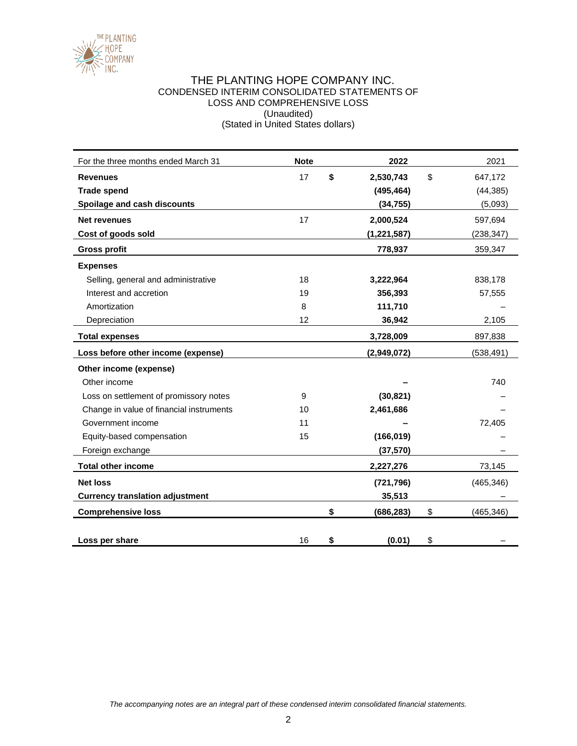

### THE PLANTING HOPE COMPANY INC. CONDENSED INTERIM CONSOLIDATED STATEMENTS OF LOSS AND COMPREHENSIVE LOSS (Unaudited) (Stated in United States dollars)

| For the three months ended March 31      | <b>Note</b> | 2022             | 2021             |
|------------------------------------------|-------------|------------------|------------------|
| <b>Revenues</b>                          | 17          | \$<br>2,530,743  | \$<br>647,172    |
| <b>Trade spend</b>                       |             | (495, 464)       | (44, 385)        |
| Spoilage and cash discounts              |             | (34, 755)        | (5,093)          |
| <b>Net revenues</b>                      | 17          | 2,000,524        | 597,694          |
| Cost of goods sold                       |             | (1, 221, 587)    | (238, 347)       |
| <b>Gross profit</b>                      |             | 778,937          | 359,347          |
| <b>Expenses</b>                          |             |                  |                  |
| Selling, general and administrative      | 18          | 3,222,964        | 838,178          |
| Interest and accretion                   | 19          | 356,393          | 57,555           |
| Amortization                             | 8           | 111,710          |                  |
| Depreciation                             | 12          | 36,942           | 2,105            |
| <b>Total expenses</b>                    |             | 3,728,009        | 897,838          |
| Loss before other income (expense)       |             | (2,949,072)      | (538, 491)       |
| Other income (expense)                   |             |                  |                  |
| Other income                             |             |                  | 740              |
| Loss on settlement of promissory notes   | 9           | (30, 821)        |                  |
| Change in value of financial instruments | 10          | 2,461,686        |                  |
| Government income                        | 11          |                  | 72,405           |
| Equity-based compensation                | 15          | (166, 019)       |                  |
| Foreign exchange                         |             | (37, 570)        |                  |
| <b>Total other income</b>                |             | 2,227,276        | 73,145           |
| <b>Net loss</b>                          |             | (721, 796)       | (465, 346)       |
| <b>Currency translation adjustment</b>   |             | 35,513           |                  |
| <b>Comprehensive loss</b>                |             | \$<br>(686, 283) | \$<br>(465, 346) |
|                                          |             |                  |                  |
| Loss per share                           | 16          | \$<br>(0.01)     | \$               |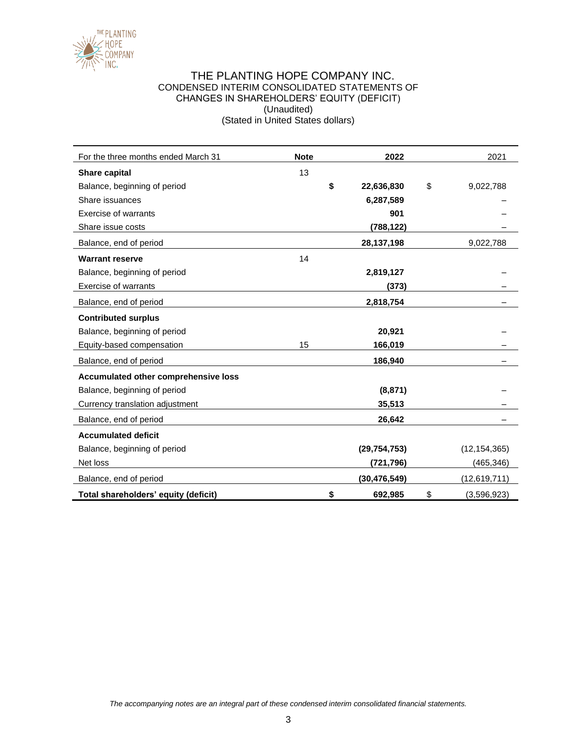

### THE PLANTING HOPE COMPANY INC. CONDENSED INTERIM CONSOLIDATED STATEMENTS OF CHANGES IN SHAREHOLDERS' EQUITY (DEFICIT) (Unaudited) (Stated in United States dollars)

| For the three months ended March 31  | <b>Note</b> | 2022             | 2021              |
|--------------------------------------|-------------|------------------|-------------------|
| Share capital                        | 13          |                  |                   |
| Balance, beginning of period         |             | \$<br>22,636,830 | \$<br>9,022,788   |
| Share issuances                      |             | 6,287,589        |                   |
| Exercise of warrants                 |             | 901              |                   |
| Share issue costs                    |             | (788, 122)       |                   |
| Balance, end of period               |             | 28,137,198       | 9,022,788         |
| <b>Warrant reserve</b>               | 14          |                  |                   |
| Balance, beginning of period         |             | 2,819,127        |                   |
| <b>Exercise of warrants</b>          |             | (373)            |                   |
| Balance, end of period               |             | 2,818,754        |                   |
| <b>Contributed surplus</b>           |             |                  |                   |
| Balance, beginning of period         |             | 20,921           |                   |
| Equity-based compensation            | 15          | 166,019          |                   |
| Balance, end of period               |             | 186,940          |                   |
| Accumulated other comprehensive loss |             |                  |                   |
| Balance, beginning of period         |             | (8, 871)         |                   |
| Currency translation adjustment      |             | 35,513           |                   |
| Balance, end of period               |             | 26,642           |                   |
| <b>Accumulated deficit</b>           |             |                  |                   |
| Balance, beginning of period         |             | (29, 754, 753)   | (12, 154, 365)    |
| Net loss                             |             | (721, 796)       | (465, 346)        |
| Balance, end of period               |             | (30, 476, 549)   | (12, 619, 711)    |
| Total shareholders' equity (deficit) |             | \$<br>692,985    | \$<br>(3,596,923) |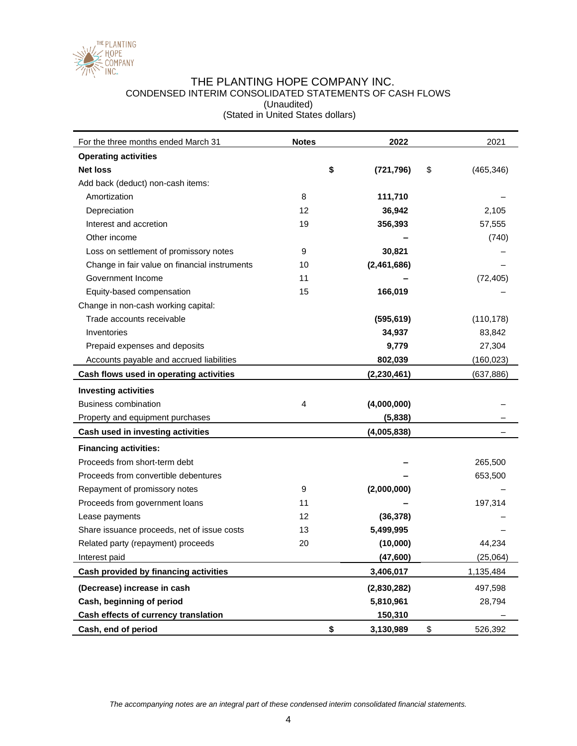

### THE PLANTING HOPE COMPANY INC. CONDENSED INTERIM CONSOLIDATED STATEMENTS OF CASH FLOWS (Unaudited) (Stated in United States dollars)

| For the three months ended March 31           | <b>Notes</b> | 2022             | 2021             |
|-----------------------------------------------|--------------|------------------|------------------|
| <b>Operating activities</b>                   |              |                  |                  |
| <b>Net loss</b>                               |              | \$<br>(721, 796) | \$<br>(465, 346) |
| Add back (deduct) non-cash items:             |              |                  |                  |
| Amortization                                  | 8            | 111,710          |                  |
| Depreciation                                  | 12           | 36,942           | 2,105            |
| Interest and accretion                        | 19           | 356,393          | 57,555           |
| Other income                                  |              |                  | (740)            |
| Loss on settlement of promissory notes        | 9            | 30,821           |                  |
| Change in fair value on financial instruments | 10           | (2,461,686)      |                  |
| Government Income                             | 11           |                  | (72, 405)        |
| Equity-based compensation                     | 15           | 166,019          |                  |
| Change in non-cash working capital:           |              |                  |                  |
| Trade accounts receivable                     |              | (595, 619)       | (110, 178)       |
| Inventories                                   |              | 34,937           | 83,842           |
| Prepaid expenses and deposits                 |              | 9,779            | 27,304           |
| Accounts payable and accrued liabilities      |              | 802,039          | (160, 023)       |
| Cash flows used in operating activities       |              | (2, 230, 461)    | (637, 886)       |
| <b>Investing activities</b>                   |              |                  |                  |
| <b>Business combination</b>                   | 4            | (4,000,000)      |                  |
| Property and equipment purchases              |              | (5,838)          |                  |
| Cash used in investing activities             |              | (4,005,838)      |                  |
| <b>Financing activities:</b>                  |              |                  |                  |
| Proceeds from short-term debt                 |              |                  | 265,500          |
| Proceeds from convertible debentures          |              |                  | 653,500          |
| Repayment of promissory notes                 | 9            | (2,000,000)      |                  |
| Proceeds from government loans                | 11           |                  | 197,314          |
| Lease payments                                | 12           | (36, 378)        |                  |
| Share issuance proceeds, net of issue costs   | 13           | 5,499,995        |                  |
| Related party (repayment) proceeds            | 20           | (10,000)         | 44,234           |
| Interest paid                                 |              | (47, 600)        | (25,064)         |
| Cash provided by financing activities         |              | 3,406,017        | 1,135,484        |
| (Decrease) increase in cash                   |              | (2,830,282)      | 497,598          |
| Cash, beginning of period                     |              | 5,810,961        | 28,794           |
| Cash effects of currency translation          |              | 150,310          |                  |
| Cash, end of period                           |              | \$<br>3,130,989  | \$<br>526,392    |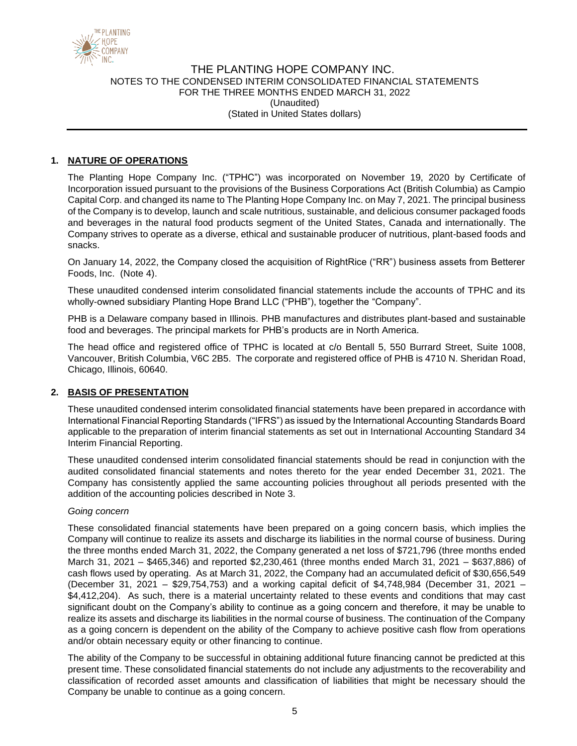

## **1. NATURE OF OPERATIONS**

The Planting Hope Company Inc. ("TPHC") was incorporated on November 19, 2020 by Certificate of Incorporation issued pursuant to the provisions of the Business Corporations Act (British Columbia) as Campio Capital Corp. and changed its name to The Planting Hope Company Inc. on May 7, 2021. The principal business of the Company is to develop, launch and scale nutritious, sustainable, and delicious consumer packaged foods and beverages in the natural food products segment of the United States, Canada and internationally. The Company strives to operate as a diverse, ethical and sustainable producer of nutritious, plant-based foods and snacks.

On January 14, 2022, the Company closed the acquisition of RightRice ("RR") business assets from Betterer Foods, Inc. (Note 4).

These unaudited condensed interim consolidated financial statements include the accounts of TPHC and its wholly-owned subsidiary Planting Hope Brand LLC ("PHB"), together the "Company".

PHB is a Delaware company based in Illinois. PHB manufactures and distributes plant-based and sustainable food and beverages. The principal markets for PHB's products are in North America.

The head office and registered office of TPHC is located at c/o Bentall 5, 550 Burrard Street, Suite 1008, Vancouver, British Columbia, V6C 2B5. The corporate and registered office of PHB is 4710 N. Sheridan Road, Chicago, Illinois, 60640.

### **2. BASIS OF PRESENTATION**

These unaudited condensed interim consolidated financial statements have been prepared in accordance with International Financial Reporting Standards ("IFRS") as issued by the International Accounting Standards Board applicable to the preparation of interim financial statements as set out in International Accounting Standard 34 Interim Financial Reporting.

These unaudited condensed interim consolidated financial statements should be read in conjunction with the audited consolidated financial statements and notes thereto for the year ended December 31, 2021. The Company has consistently applied the same accounting policies throughout all periods presented with the addition of the accounting policies described in Note 3.

#### *Going concern*

These consolidated financial statements have been prepared on a going concern basis, which implies the Company will continue to realize its assets and discharge its liabilities in the normal course of business. During the three months ended March 31, 2022, the Company generated a net loss of \$721,796 (three months ended March 31, 2021 – \$465,346) and reported \$2,230,461 (three months ended March 31, 2021 – \$637,886) of cash flows used by operating. As at March 31, 2022, the Company had an accumulated deficit of \$30,656,549 (December 31, 2021 – \$29,754,753) and a working capital deficit of \$4,748,984 (December 31, 2021 – \$4,412,204). As such, there is a material uncertainty related to these events and conditions that may cast significant doubt on the Company's ability to continue as a going concern and therefore, it may be unable to realize its assets and discharge its liabilities in the normal course of business. The continuation of the Company as a going concern is dependent on the ability of the Company to achieve positive cash flow from operations and/or obtain necessary equity or other financing to continue.

The ability of the Company to be successful in obtaining additional future financing cannot be predicted at this present time. These consolidated financial statements do not include any adjustments to the recoverability and classification of recorded asset amounts and classification of liabilities that might be necessary should the Company be unable to continue as a going concern.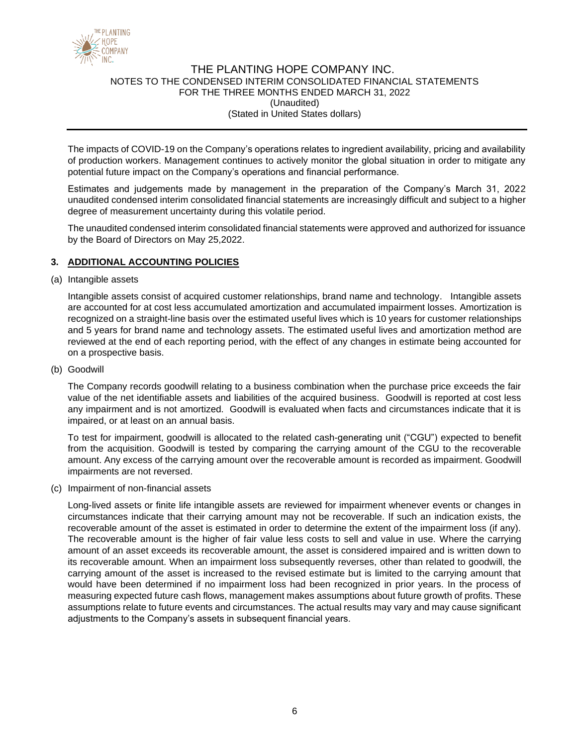

The impacts of COVID-19 on the Company's operations relates to ingredient availability, pricing and availability of production workers. Management continues to actively monitor the global situation in order to mitigate any potential future impact on the Company's operations and financial performance.

Estimates and judgements made by management in the preparation of the Company's March 31, 2022 unaudited condensed interim consolidated financial statements are increasingly difficult and subject to a higher degree of measurement uncertainty during this volatile period.

The unaudited condensed interim consolidated financial statements were approved and authorized for issuance by the Board of Directors on May 25,2022.

### **3. ADDITIONAL ACCOUNTING POLICIES**

(a) Intangible assets

Intangible assets consist of acquired customer relationships, brand name and technology. Intangible assets are accounted for at cost less accumulated amortization and accumulated impairment losses. Amortization is recognized on a straight-line basis over the estimated useful lives which is 10 years for customer relationships and 5 years for brand name and technology assets. The estimated useful lives and amortization method are reviewed at the end of each reporting period, with the effect of any changes in estimate being accounted for on a prospective basis.

(b) Goodwill

The Company records goodwill relating to a business combination when the purchase price exceeds the fair value of the net identifiable assets and liabilities of the acquired business. Goodwill is reported at cost less any impairment and is not amortized. Goodwill is evaluated when facts and circumstances indicate that it is impaired, or at least on an annual basis.

To test for impairment, goodwill is allocated to the related cash-generating unit ("CGU") expected to benefit from the acquisition. Goodwill is tested by comparing the carrying amount of the CGU to the recoverable amount. Any excess of the carrying amount over the recoverable amount is recorded as impairment. Goodwill impairments are not reversed.

(c) Impairment of non-financial assets

Long-lived assets or finite life intangible assets are reviewed for impairment whenever events or changes in circumstances indicate that their carrying amount may not be recoverable. If such an indication exists, the recoverable amount of the asset is estimated in order to determine the extent of the impairment loss (if any). The recoverable amount is the higher of fair value less costs to sell and value in use. Where the carrying amount of an asset exceeds its recoverable amount, the asset is considered impaired and is written down to its recoverable amount. When an impairment loss subsequently reverses, other than related to goodwill, the carrying amount of the asset is increased to the revised estimate but is limited to the carrying amount that would have been determined if no impairment loss had been recognized in prior years. In the process of measuring expected future cash flows, management makes assumptions about future growth of profits. These assumptions relate to future events and circumstances. The actual results may vary and may cause significant adjustments to the Company's assets in subsequent financial years.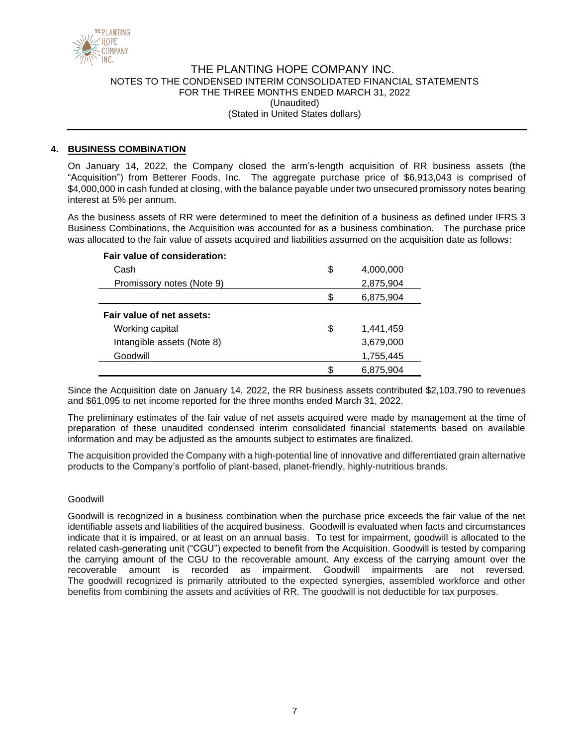

#### **4. BUSINESS COMBINATION**

On January 14, 2022, the Company closed the arm's-length acquisition of RR business assets (the "Acquisition") from Betterer Foods, Inc. The aggregate purchase price of \$6,913,043 is comprised of \$4,000,000 in cash funded at closing, with the balance payable under two unsecured promissory notes bearing interest at 5% per annum.

As the business assets of RR were determined to meet the definition of a business as defined under IFRS 3 Business Combinations, the Acquisition was accounted for as a business combination. The purchase price was allocated to the fair value of assets acquired and liabilities assumed on the acquisition date as follows:

#### **Fair value of consideration:**

| Cash                       | \$ | 4,000,000 |
|----------------------------|----|-----------|
| Promissory notes (Note 9)  |    | 2,875,904 |
|                            | S. | 6,875,904 |
| Fair value of net assets:  |    |           |
| Working capital            | \$ | 1,441,459 |
| Intangible assets (Note 8) |    | 3,679,000 |
| Goodwill                   |    | 1,755,445 |
|                            |    | 6.875.904 |

Since the Acquisition date on January 14, 2022, the RR business assets contributed \$2,103,790 to revenues and \$61,095 to net income reported for the three months ended March 31, 2022.

The preliminary estimates of the fair value of net assets acquired were made by management at the time of preparation of these unaudited condensed interim consolidated financial statements based on available information and may be adjusted as the amounts subject to estimates are finalized.

The acquisition provided the Company with a high-potential line of innovative and differentiated grain alternative products to the Company's portfolio of plant-based, planet-friendly, highly-nutritious brands.

#### Goodwill

Goodwill is recognized in a business combination when the purchase price exceeds the fair value of the net identifiable assets and liabilities of the acquired business. Goodwill is evaluated when facts and circumstances indicate that it is impaired, or at least on an annual basis. To test for impairment, goodwill is allocated to the related cash-generating unit ("CGU") expected to benefit from the Acquisition. Goodwill is tested by comparing the carrying amount of the CGU to the recoverable amount. Any excess of the carrying amount over the recoverable amount is recorded as impairment. Goodwill impairments are not reversed. The goodwill recognized is primarily attributed to the expected synergies, assembled workforce and other benefits from combining the assets and activities of RR. The goodwill is not deductible for tax purposes.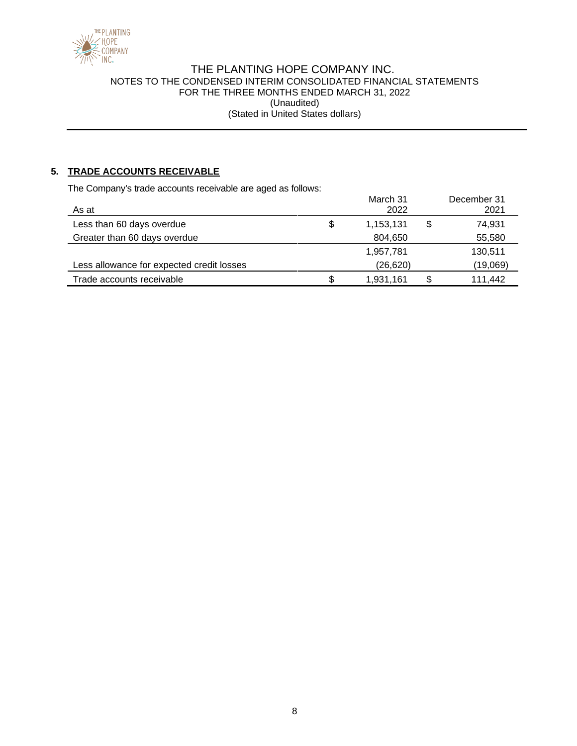

# **5. TRADE ACCOUNTS RECEIVABLE**

The Company's trade accounts receivable are aged as follows:

|                                           | March 31        | December 31   |
|-------------------------------------------|-----------------|---------------|
| As at                                     | 2022            | 2021          |
| Less than 60 days overdue                 | \$<br>1,153,131 | \$<br>74,931  |
| Greater than 60 days overdue              | 804,650         | 55,580        |
|                                           | 1,957,781       | 130,511       |
| Less allowance for expected credit losses | (26, 620)       | (19,069)      |
| Trade accounts receivable                 | \$<br>1,931,161 | \$<br>111,442 |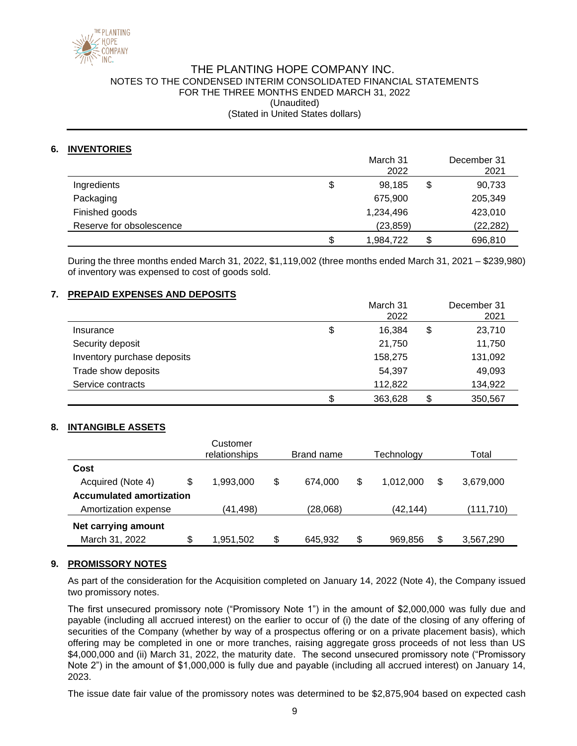

# THE PLANTING HOPE COMPANY INC. NOTES TO THE CONDENSED INTERIM CONSOLIDATED FINANCIAL STATEMENTS FOR THE THREE MONTHS ENDED MARCH 31, 2022 (Unaudited)

(Stated in United States dollars)

### **6. INVENTORIES**

|                          | March 31<br>2022 | December 31<br>2021 |
|--------------------------|------------------|---------------------|
| Ingredients              | \$<br>98.185     | \$<br>90,733        |
| Packaging                | 675,900          | 205,349             |
| Finished goods           | 1,234,496        | 423,010             |
| Reserve for obsolescence | (23, 859)        | (22, 282)           |
|                          | \$<br>1,984,722  | \$<br>696,810       |

During the three months ended March 31, 2022, \$1,119,002 (three months ended March 31, 2021 – \$239,980) of inventory was expensed to cost of goods sold.

### **7. PREPAID EXPENSES AND DEPOSITS**

|                             | March 31<br>2022 | December 31<br>2021 |
|-----------------------------|------------------|---------------------|
| Insurance                   | \$<br>16.384     | \$<br>23,710        |
| Security deposit            | 21,750           | 11,750              |
| Inventory purchase deposits | 158,275          | 131,092             |
| Trade show deposits         | 54,397           | 49,093              |
| Service contracts           | 112,822          | 134,922             |
|                             | \$<br>363,628    | \$<br>350,567       |

### **8. INTANGIBLE ASSETS**

|                                 |    | Customer<br>relationships |    | Brand name |    | Technology |     | Total     |
|---------------------------------|----|---------------------------|----|------------|----|------------|-----|-----------|
| Cost                            |    |                           |    |            |    |            |     |           |
| Acquired (Note 4)               | \$ | 1,993,000                 | \$ | 674.000    | \$ | 1.012.000  | \$. | 3,679,000 |
| <b>Accumulated amortization</b> |    |                           |    |            |    |            |     |           |
| Amortization expense            |    | (41, 498)                 |    | (28,068)   |    | (42.144)   |     | (111,710) |
| Net carrying amount             |    |                           |    |            |    |            |     |           |
| March 31, 2022                  | \$ | 1,951,502                 | \$ | 645,932    | \$ | 969,856    | \$  | 3,567,290 |

### **9. PROMISSORY NOTES**

As part of the consideration for the Acquisition completed on January 14, 2022 (Note 4), the Company issued two promissory notes.

The first unsecured promissory note ("Promissory Note 1") in the amount of \$2,000,000 was fully due and payable (including all accrued interest) on the earlier to occur of (i) the date of the closing of any offering of securities of the Company (whether by way of a prospectus offering or on a private placement basis), which offering may be completed in one or more tranches, raising aggregate gross proceeds of not less than US \$4,000,000 and (ii) March 31, 2022, the maturity date. The second unsecured promissory note ("Promissory Note 2") in the amount of \$1,000,000 is fully due and payable (including all accrued interest) on January 14, 2023.

The issue date fair value of the promissory notes was determined to be \$2,875,904 based on expected cash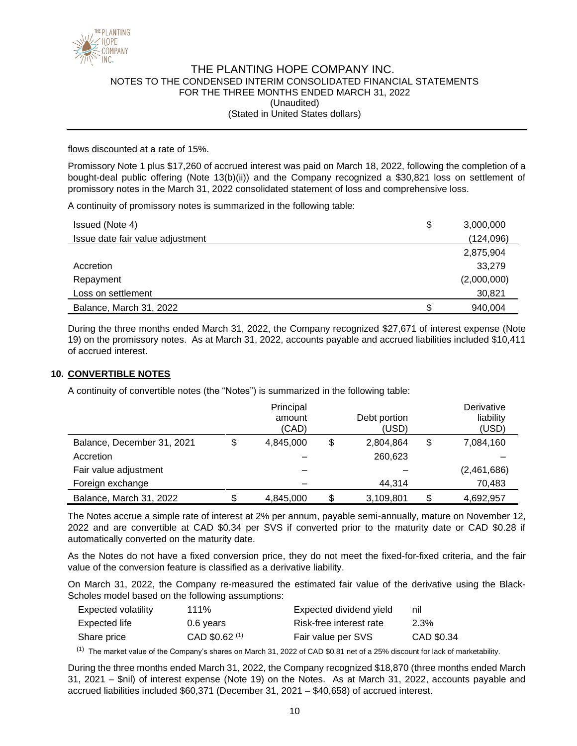

flows discounted at a rate of 15%.

Promissory Note 1 plus \$17,260 of accrued interest was paid on March 18, 2022, following the completion of a bought-deal public offering (Note 13(b)(ii)) and the Company recognized a \$30,821 loss on settlement of promissory notes in the March 31, 2022 consolidated statement of loss and comprehensive loss.

A continuity of promissory notes is summarized in the following table:

| Issued (Note 4)                  | \$<br>3,000,000 |
|----------------------------------|-----------------|
| Issue date fair value adjustment | (124, 096)      |
|                                  | 2,875,904       |
| Accretion                        | 33,279          |
| Repayment                        | (2,000,000)     |
| Loss on settlement               | 30,821          |
| Balance, March 31, 2022          | 940,004         |

During the three months ended March 31, 2022, the Company recognized \$27,671 of interest expense (Note 19) on the promissory notes. As at March 31, 2022, accounts payable and accrued liabilities included \$10,411 of accrued interest.

#### **10. CONVERTIBLE NOTES**

A continuity of convertible notes (the "Notes") is summarized in the following table:

|                            | Principal<br>amount<br>(CAD) | Debt portion<br>(USD) | Derivative<br>liability<br>(USD) |
|----------------------------|------------------------------|-----------------------|----------------------------------|
| Balance, December 31, 2021 | \$<br>4,845,000              | \$<br>2,804,864       | \$<br>7,084,160                  |
| Accretion                  |                              | 260,623               |                                  |
| Fair value adjustment      |                              |                       | (2,461,686)                      |
| Foreign exchange           |                              | 44.314                | 70,483                           |
| Balance, March 31, 2022    | \$<br>4.845.000              | \$<br>3,109,801       | \$<br>4,692,957                  |

The Notes accrue a simple rate of interest at 2% per annum, payable semi-annually, mature on November 12, 2022 and are convertible at CAD \$0.34 per SVS if converted prior to the maturity date or CAD \$0.28 if automatically converted on the maturity date.

As the Notes do not have a fixed conversion price, they do not meet the fixed-for-fixed criteria, and the fair value of the conversion feature is classified as a derivative liability.

On March 31, 2022, the Company re-measured the estimated fair value of the derivative using the Black-Scholes model based on the following assumptions:

| Expected volatility | 111%           | Expected dividend yield | nil        |
|---------------------|----------------|-------------------------|------------|
| Expected life       | 0.6 years      | Risk-free interest rate | 2.3%       |
| Share price         | CAD \$0.62 (1) | Fair value per SVS      | CAD \$0.34 |

 $<sup>(1)</sup>$  The market value of the Company's shares on March 31, 2022 of CAD \$0.81 net of a 25% discount for lack of marketability.</sup>

During the three months ended March 31, 2022, the Company recognized \$18,870 (three months ended March 31, 2021 – \$nil) of interest expense (Note 19) on the Notes. As at March 31, 2022, accounts payable and accrued liabilities included \$60,371 (December 31, 2021 – \$40,658) of accrued interest.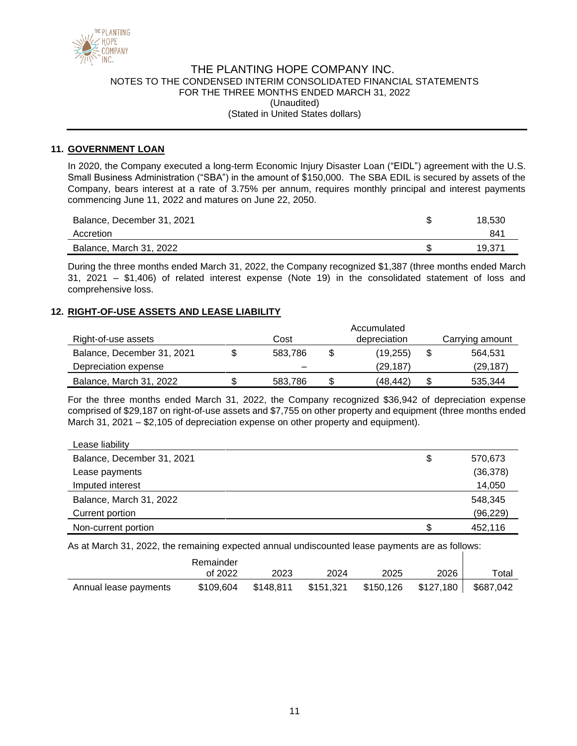

#### **11. GOVERNMENT LOAN**

In 2020, the Company executed a long-term Economic Injury Disaster Loan ("EIDL") agreement with the U.S. Small Business Administration ("SBA") in the amount of \$150,000. The SBA EDIL is secured by assets of the Company, bears interest at a rate of 3.75% per annum, requires monthly principal and interest payments commencing June 11, 2022 and matures on June 22, 2050.

| Balance, December 31, 2021 | 18.530 |
|----------------------------|--------|
| Accretion                  | 841    |
| Balance, March 31, 2022    | 19.371 |

During the three months ended March 31, 2022, the Company recognized \$1,387 (three months ended March 31, 2021 – \$1,406) of related interest expense (Note 19) in the consolidated statement of loss and comprehensive loss.

#### **12. RIGHT-OF-USE ASSETS AND LEASE LIABILITY**

| Right-of-use assets        | Cost    |   | Accumulated<br>depreciation |   | Carrying amount |
|----------------------------|---------|---|-----------------------------|---|-----------------|
| Balance, December 31, 2021 | 583.786 | S | (19.255)                    | S | 564.531         |
| Depreciation expense       |         |   | (29, 187)                   |   | (29,187)        |
| Balance, March 31, 2022    | 583,786 |   | (48, 442)                   |   | 535,344         |

For the three months ended March 31, 2022, the Company recognized \$36,942 of depreciation expense comprised of \$29,187 on right-of-use assets and \$7,755 on other property and equipment (three months ended March 31, 2021 – \$2,105 of depreciation expense on other property and equipment).

| Lease liability            |               |
|----------------------------|---------------|
| Balance, December 31, 2021 | \$<br>570,673 |
| Lease payments             | (36, 378)     |
| Imputed interest           | 14,050        |
| Balance, March 31, 2022    | 548,345       |
| Current portion            | (96, 229)     |
| Non-current portion        | 452,116       |

As at March 31, 2022, the remaining expected annual undiscounted lease payments are as follows:

|                       | Remainder |           |           |           |             |             |
|-----------------------|-----------|-----------|-----------|-----------|-------------|-------------|
|                       | of 2022   | 2023      | 2024      | 2025      | 2026        | $\tau$ otal |
| Annual lease payments | \$109,604 | \$148,811 | \$151,321 | \$150,126 | \$127,180 ∐ | \$687,042   |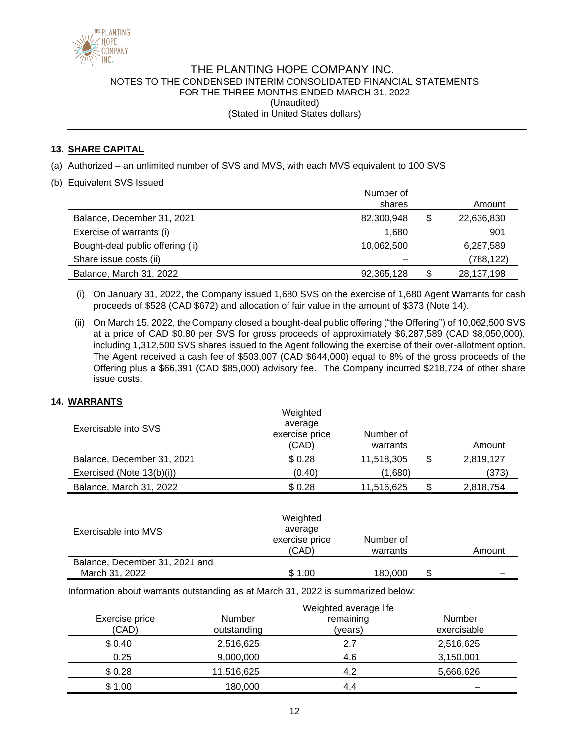

### **13. SHARE CAPITAL**

- (a) Authorized an unlimited number of SVS and MVS, with each MVS equivalent to 100 SVS
- (b) Equivalent SVS Issued

|                                  | Number of  |    |            |
|----------------------------------|------------|----|------------|
|                                  | shares     |    | Amount     |
| Balance, December 31, 2021       | 82,300,948 | \$ | 22,636,830 |
| Exercise of warrants (i)         | 1.680      |    | 901        |
| Bought-deal public offering (ii) | 10,062,500 |    | 6,287,589  |
| Share issue costs (ii)           |            |    | (788, 122) |
| Balance, March 31, 2022          | 92,365,128 | S  | 28,137,198 |

- (i) On January 31, 2022, the Company issued 1,680 SVS on the exercise of 1,680 Agent Warrants for cash proceeds of \$528 (CAD \$672) and allocation of fair value in the amount of \$373 (Note 14).
- (ii) On March 15, 2022, the Company closed a bought-deal public offering ("the Offering") of 10,062,500 SVS at a price of CAD \$0.80 per SVS for gross proceeds of approximately \$6,287,589 (CAD \$8,050,000), including 1,312,500 SVS shares issued to the Agent following the exercise of their over-allotment option. The Agent received a cash fee of \$503,007 (CAD \$644,000) equal to 8% of the gross proceeds of the Offering plus a \$66,391 (CAD \$85,000) advisory fee. The Company incurred \$218,724 of other share issue costs.

### **14. WARRANTS**

|                            | Weighted<br>average     |                       |    |           |
|----------------------------|-------------------------|-----------------------|----|-----------|
| Exercisable into SVS       | exercise price<br>(CAD) | Number of<br>warrants |    | Amount    |
| Balance, December 31, 2021 | \$0.28                  | 11,518,305            | \$ | 2,819,127 |
| Exercised (Note 13(b)(i))  | (0.40)                  | (1,680)               |    | (373)     |
| Balance, March 31, 2022    | \$0.28                  | 11,516,625            | S  | 2,818,754 |

| Weighted<br>average<br>Exercisable into MVS<br>exercise price<br>(CAD) |        | Number of<br>warrants |   | Amount |
|------------------------------------------------------------------------|--------|-----------------------|---|--------|
| Balance, December 31, 2021 and                                         |        |                       |   |        |
| March 31, 2022                                                         | \$1.00 | 180,000               | S |        |

Information about warrants outstanding as at March 31, 2022 is summarized below:

|                         |                              | Weighted average life |                       |
|-------------------------|------------------------------|-----------------------|-----------------------|
| Exercise price<br>(CAD) | <b>Number</b><br>outstanding | remaining<br>(years)  | Number<br>exercisable |
| \$0.40                  | 2,516,625                    | 2.7                   | 2,516,625             |
| 0.25                    | 9,000,000                    | 4.6                   | 3,150,001             |
| \$0.28                  | 11,516,625                   | 4.2                   | 5,666,626             |
| \$1.00                  | 180,000                      | 4.4                   |                       |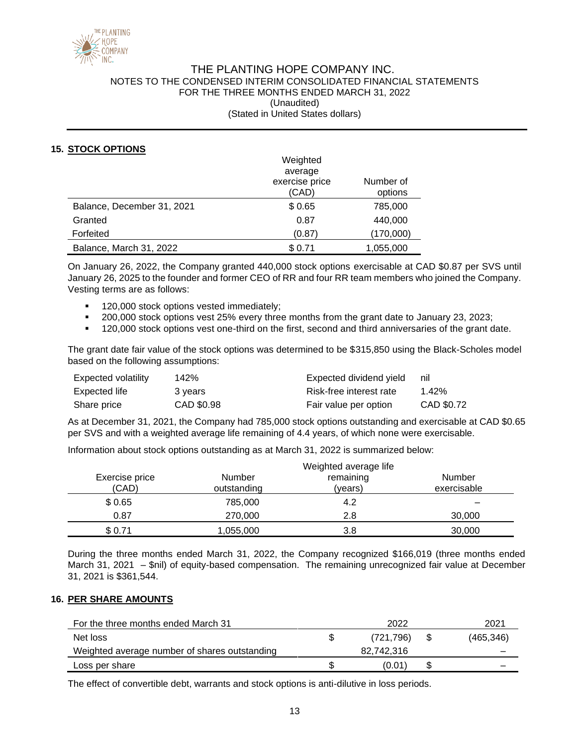

### **15. STOCK OPTIONS**

|                            | Weighted       |           |
|----------------------------|----------------|-----------|
|                            | average        |           |
|                            | exercise price | Number of |
|                            | (CAD)          | options   |
| Balance, December 31, 2021 | \$0.65         | 785,000   |
| Granted                    | 0.87           | 440,000   |
| Forfeited                  | (0.87)         | (170,000) |
| Balance, March 31, 2022    | \$0.71         | 1,055,000 |

On January 26, 2022, the Company granted 440,000 stock options exercisable at CAD \$0.87 per SVS until January 26, 2025 to the founder and former CEO of RR and four RR team members who joined the Company. Vesting terms are as follows:

- 120,000 stock options vested immediately;
- 200,000 stock options vest 25% every three months from the grant date to January 23, 2023;
- 120,000 stock options vest one-third on the first, second and third anniversaries of the grant date.

The grant date fair value of the stock options was determined to be \$315,850 using the Black-Scholes model based on the following assumptions:

| Expected volatility | 142%       | Expected dividend yield | nil        |
|---------------------|------------|-------------------------|------------|
| Expected life       | 3 years    | Risk-free interest rate | 1.42%      |
| Share price         | CAD \$0.98 | Fair value per option   | CAD \$0.72 |

As at December 31, 2021, the Company had 785,000 stock options outstanding and exercisable at CAD \$0.65 per SVS and with a weighted average life remaining of 4.4 years, of which none were exercisable.

Information about stock options outstanding as at March 31, 2022 is summarized below:

|                         |                              | Weighted average life |                              |
|-------------------------|------------------------------|-----------------------|------------------------------|
| Exercise price<br>(CAD) | <b>Number</b><br>outstanding | remaining<br>(years)  | <b>Number</b><br>exercisable |
| \$0.65                  | 785,000                      | 4.2                   |                              |
| 0.87                    | 270,000                      | 2.8                   | 30,000                       |
| \$0.71                  | 1,055,000                    | 3.8                   | 30,000                       |

During the three months ended March 31, 2022, the Company recognized \$166,019 (three months ended March 31, 2021 – \$nil) of equity-based compensation. The remaining unrecognized fair value at December 31, 2021 is \$361,544.

#### **16. PER SHARE AMOUNTS**

| For the three months ended March 31           | 2022       | 2021       |
|-----------------------------------------------|------------|------------|
| Net loss                                      | (721.796)  | (465, 346) |
| Weighted average number of shares outstanding | 82.742.316 |            |
| Loss per share                                | (0.01)     |            |
|                                               |            |            |

The effect of convertible debt, warrants and stock options is anti-dilutive in loss periods.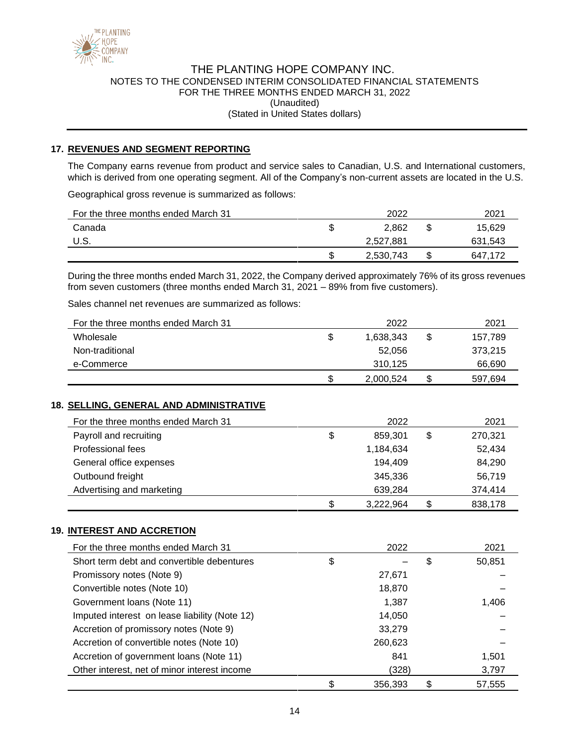

# THE PLANTING HOPE COMPANY INC. NOTES TO THE CONDENSED INTERIM CONSOLIDATED FINANCIAL STATEMENTS FOR THE THREE MONTHS ENDED MARCH 31, 2022 (Unaudited)

(Stated in United States dollars)

### **17. REVENUES AND SEGMENT REPORTING**

The Company earns revenue from product and service sales to Canadian, U.S. and International customers, which is derived from one operating segment. All of the Company's non-current assets are located in the U.S.

Geographical gross revenue is summarized as follows:

| For the three months ended March 31 |   | 2022      |   | 2021    |
|-------------------------------------|---|-----------|---|---------|
| Canada                              |   | 2.862     |   | 15,629  |
| U.S.                                |   | 2,527,881 |   | 631,543 |
|                                     | J | 2,530,743 | S | 647,172 |

During the three months ended March 31, 2022, the Company derived approximately 76% of its gross revenues from seven customers (three months ended March 31, 2021 – 89% from five customers).

Sales channel net revenues are summarized as follows:

| For the three months ended March 31 |   | 2022      |   | 2021    |
|-------------------------------------|---|-----------|---|---------|
| Wholesale                           | S | 1.638.343 | S | 157,789 |
| Non-traditional                     |   | 52.056    |   | 373.215 |
| e-Commerce                          |   | 310.125   |   | 66,690  |
|                                     | S | 2,000,524 | S | 597,694 |

### **18. SELLING, GENERAL AND ADMINISTRATIVE**

| For the three months ended March 31 | 2022            | 2021          |
|-------------------------------------|-----------------|---------------|
| Payroll and recruiting              | \$<br>859.301   | \$<br>270,321 |
| Professional fees                   | 1,184,634       | 52,434        |
| General office expenses             | 194,409         | 84,290        |
| Outbound freight                    | 345.336         | 56,719        |
| Advertising and marketing           | 639,284         | 374,414       |
|                                     | \$<br>3,222,964 | \$<br>838,178 |

## **19. INTEREST AND ACCRETION**

| For the three months ended March 31           | 2022    |       | 2021   |
|-----------------------------------------------|---------|-------|--------|
| Short term debt and convertible debentures    | \$      | \$    | 50,851 |
| Promissory notes (Note 9)                     | 27,671  |       |        |
| Convertible notes (Note 10)                   | 18,870  |       |        |
| Government Ioans (Note 11)                    | 1,387   | 1,406 |        |
| Imputed interest on lease liability (Note 12) | 14,050  |       |        |
| Accretion of promissory notes (Note 9)        | 33,279  |       |        |
| Accretion of convertible notes (Note 10)      | 260,623 |       |        |
| Accretion of government loans (Note 11)       | 841     |       | 1.501  |
| Other interest, net of minor interest income  | (328)   |       | 3,797  |
|                                               | 356,393 | S     | 57,555 |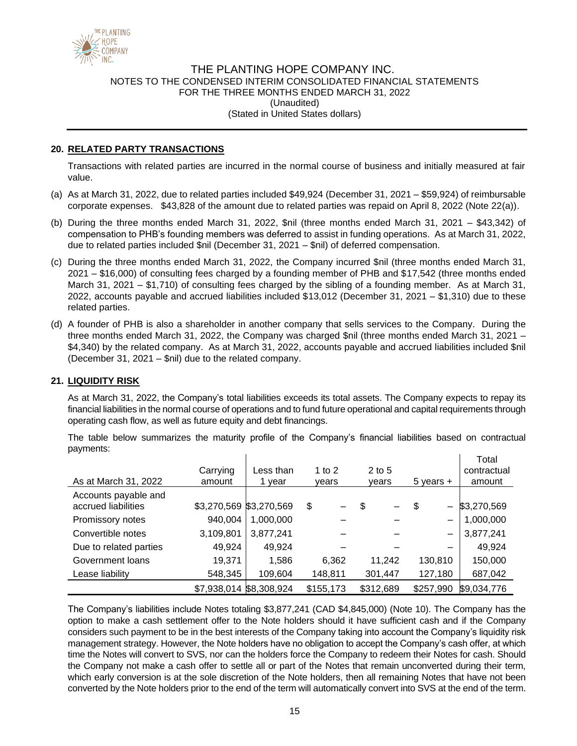

### **20. RELATED PARTY TRANSACTIONS**

Transactions with related parties are incurred in the normal course of business and initially measured at fair value.

- (a) As at March 31, 2022, due to related parties included \$49,924 (December 31, 2021 \$59,924) of reimbursable corporate expenses. \$43,828 of the amount due to related parties was repaid on April 8, 2022 (Note 22(a)).
- (b) During the three months ended March 31, 2022, \$nil (three months ended March 31, 2021 \$43,342) of compensation to PHB's founding members was deferred to assist in funding operations. As at March 31, 2022, due to related parties included \$nil (December 31, 2021 – \$nil) of deferred compensation.
- (c) During the three months ended March 31, 2022, the Company incurred \$nil (three months ended March 31, 2021 – \$16,000) of consulting fees charged by a founding member of PHB and \$17,542 (three months ended March 31, 2021 – \$1,710) of consulting fees charged by the sibling of a founding member. As at March 31, 2022, accounts payable and accrued liabilities included \$13,012 (December 31, 2021 – \$1,310) due to these related parties.
- (d) A founder of PHB is also a shareholder in another company that sells services to the Company. During the three months ended March 31, 2022, the Company was charged \$nil (three months ended March 31, 2021 – \$4,340) by the related company. As at March 31, 2022, accounts payable and accrued liabilities included \$nil (December 31, 2021 – \$nil) due to the related company.

### **21. LIQUIDITY RISK**

As at March 31, 2022, the Company's total liabilities exceeds its total assets. The Company expects to repay its financial liabilities in the normal course of operations and to fund future operational and capital requirements through operating cash flow, as well as future equity and debt financings.

The table below summarizes the maturity profile of the Company's financial liabilities based on contractual payments:

| As at March 31, 2022                        | Carrying<br>amount      | Less than<br>vear | 1 to 2<br>vears | $2$ to 5<br>vears | $5$ years $+$           | Total<br>contractual<br>amount |
|---------------------------------------------|-------------------------|-------------------|-----------------|-------------------|-------------------------|--------------------------------|
| Accounts payable and<br>accrued liabilities | \$3,270,569 \$3,270,569 |                   | \$              | \$                | \$<br>$\qquad \qquad -$ | \$3,270,569                    |
| Promissory notes                            | 940,004                 | 1,000,000         |                 |                   |                         | 1,000,000                      |
| Convertible notes                           | 3,109,801               | 3,877,241         |                 |                   | $\qquad \qquad -$       | 3,877,241                      |
| Due to related parties                      | 49,924                  | 49,924            |                 |                   |                         | 49,924                         |
| Government loans                            | 19,371                  | 1,586             | 6,362           | 11,242            | 130,810                 | 150,000                        |
| Lease liability                             | 548,345                 | 109,604           | 148,811         | 301,447           | 127,180                 | 687,042                        |
|                                             | \$7,938,014 \$8,308,924 |                   | \$155,173       | \$312,689         | \$257,990               | \$9,034,776                    |

The Company's liabilities include Notes totaling \$3,877,241 (CAD \$4,845,000) (Note 10). The Company has the option to make a cash settlement offer to the Note holders should it have sufficient cash and if the Company considers such payment to be in the best interests of the Company taking into account the Company's liquidity risk management strategy. However, the Note holders have no obligation to accept the Company's cash offer, at which time the Notes will convert to SVS, nor can the holders force the Company to redeem their Notes for cash. Should the Company not make a cash offer to settle all or part of the Notes that remain unconverted during their term, which early conversion is at the sole discretion of the Note holders, then all remaining Notes that have not been converted by the Note holders prior to the end of the term will automatically convert into SVS at the end of the term.